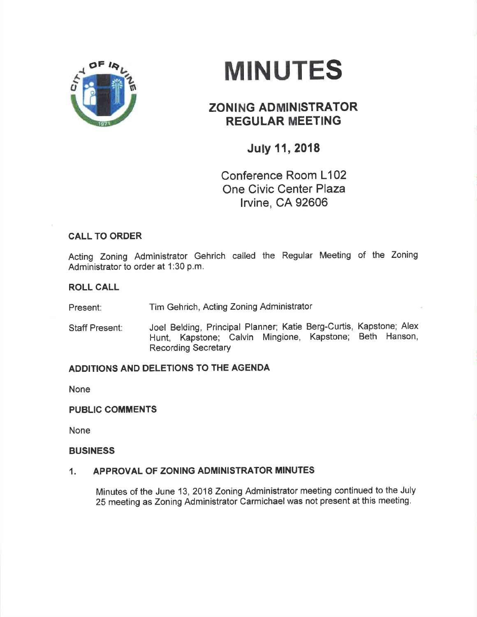

# MINUTES

# **ZONING ADMINISTRATOR** REGULAR MEETING

## July 11, 2018

Conference Room L102 One Civic Center Plaza lrvine, CA 92606

## CALL TO ORDER

Acting Zoning Administrator Gehrich called the Regular Meeting of the Zoning Administrator to order at 1:30 p.m.

### ROLL CALL

Present: Tim Gehrich, Acting Zoning Administrator

Staff Present: Joel Belding, Principal Planner; Katie Berg-Curtis, Kapstone; Alex Hunt, Kapstone; Calvin Mingione, Kapstone; Beth Hanson, Recording Secretary

## ADDITIONS AND DELETIONS TO THE AGENDA

None

#### PUBLIC COMMENTS

None

#### **BUSINESS**

#### 1. APPROVAL OF ZONING ADMINISTRATOR MINUTES

Minutes of the June 13,2018 Zoning Administrator meeting continued to the July 25 meeting as Zoning Administrator Carmichael was not present at this meeting.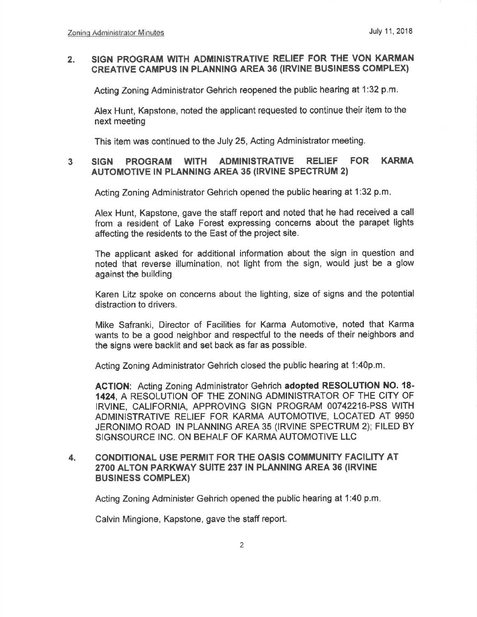#### 2. SIGN PROGRAM WITH ADMINISTRATIVE RELIEF FOR THE VON KARMAN CREATIVE CAMPUS IN PLANNING AREA 36 (IRVINE BUSINESS COMPLEX)

Acting Zoning Administrator Gehrich reopened the public hearing at 1:32 p.m.

Alex Hunt, Kapstone, noted the applicant requested to continue their item to the next meeting

This item was continued to the July 25, Acting Administrator meeting.

#### SIGN PROGRAM WITH ADMINISTRATIVE RELIEF FOR KARMA AUTOMOTIVE IN PLANNING AREA 35 (IRVINE SPECTRUM 2) 3

Acting Zoning Administrator Gehrich opened the public hearing at 1:32 p.m.

Alex Hunt, Kapstone, gave the staff report and noted that he had received a call from a resident of Lake Forest expressing concerns about the parapet lights affecting the residents to the East of the project site.

The applicant asked for additional information about the sign in question and noted that reverse illumination, not liglrt from the sign, would just be a glow against the building

Karen Litz spoke on concerns about the lighting, size of signs and the potential distraction to drivers.

Mike Safranki, Director of Facilities for Karma Automotive, noted that Kanna wants to be a good neighbor and respectful to the needs of their neighbors and the signs were backlit and set back as far as possible.

Acting Zoning Administrator Gehrich closed the public hearing at 1:40p,m,

ACTION: Acting Zoning Administrator Gehrich adopted RESOLUTION NO. 18- 1424, A RESOLUTION OF THE ZONING ADMINISTRATOR OF THE CITY OF IRVINE, CALIFORNIA, APPROVING SIGN PROGRAM 00742216-PSS VVITH ADMINISTRATIVE RELIEF FOR KARMA AUTOMOTIVE, LOCATED AT 9950 JËRONIMO ROAD lN PLANNING AREA 35 (lRVlNE SPECTRUM 2); FILED BY SIGNSOURCE INC. ON BEHALF OF KARMA AUTOMOTIVE LLC

#### 4. CONDITIONAL USE PERMIT FOR THE OASIS COMMUNITY FACILITY AT 2700 ALToN PARKWAY SUITE 237 lN PLANNING AREA 36 (lRVlNE BUSINESS COMPLEX)

Acting Zoning Adminíster Gehrich opened the public hearing at 1:40 p.m

Calvin Mingione, Kapstone, gave the staff report.